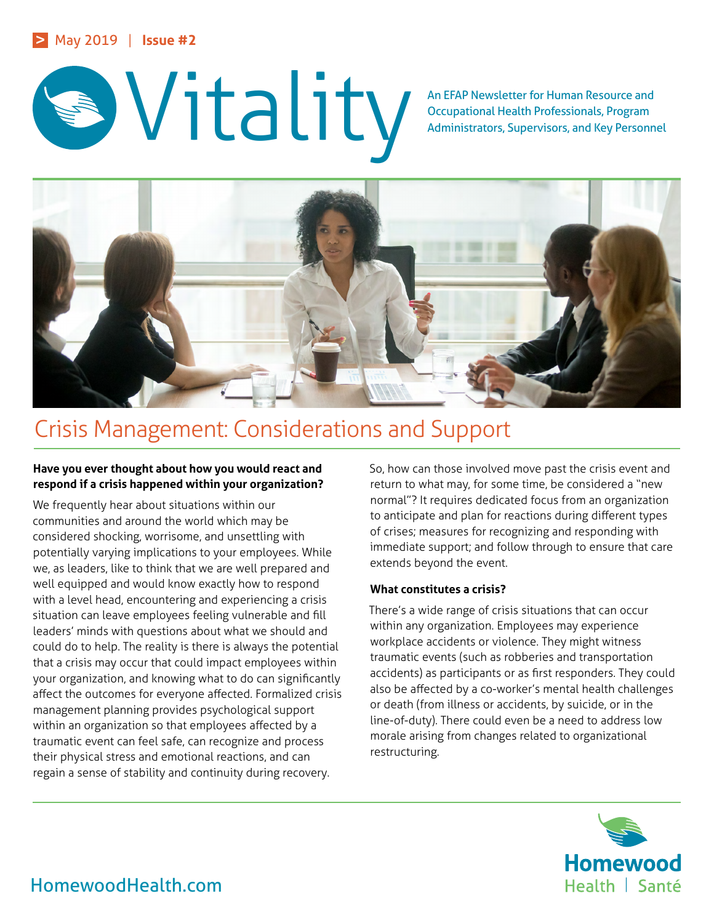



Occupational Health Professionals, Program Administrators, Supervisors, and Key Personnel



# Crisis Management: Considerations and Support

# **Have you ever thought about how you would react and respond if a crisis happened within your organization?**

We frequently hear about situations within our communities and around the world which may be considered shocking, worrisome, and unsettling with potentially varying implications to your employees. While we, as leaders, like to think that we are well prepared and well equipped and would know exactly how to respond with a level head, encountering and experiencing a crisis situation can leave employees feeling vulnerable and fill leaders' minds with questions about what we should and could do to help. The reality is there is always the potential that a crisis may occur that could impact employees within your organization, and knowing what to do can significantly affect the outcomes for everyone affected. Formalized crisis management planning provides psychological support within an organization so that employees affected by a traumatic event can feel safe, can recognize and process their physical stress and emotional reactions, and can regain a sense of stability and continuity during recovery.

So, how can those involved move past the crisis event and return to what may, for some time, be considered a "new normal"? It requires dedicated focus from an organization to anticipate and plan for reactions during different types of crises; measures for recognizing and responding with immediate support; and follow through to ensure that care extends beyond the event.

## **What constitutes a crisis?**

There's a wide range of crisis situations that can occur within any organization. Employees may experience workplace accidents or violence. They might witness traumatic events (such as robberies and transportation accidents) as participants or as first responders. They could also be affected by a co-worker's mental health challenges or death (from illness or accidents, by suicide, or in the line-of-duty). There could even be a need to address low morale arising from changes related to organizational restructuring.

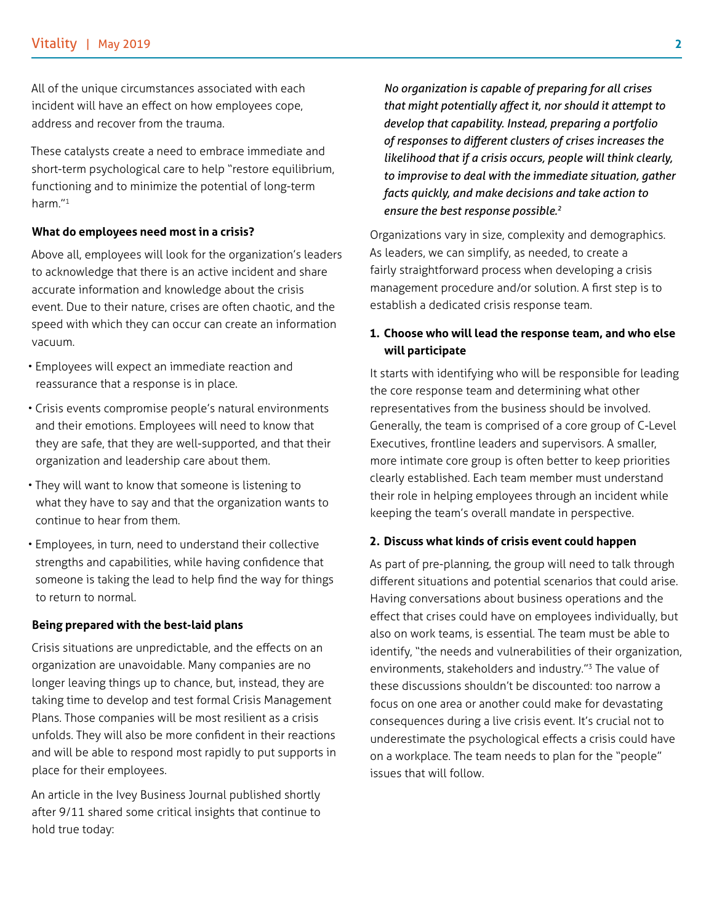All of the unique circumstances associated with each incident will have an effect on how employees cope, address and recover from the trauma.

These catalysts create a need to embrace immediate and short-term psychological care to help "restore equilibrium, functioning and to minimize the potential of long-term harm."1

### **What do employees need most in a crisis?**

Above all, employees will look for the organization's leaders to acknowledge that there is an active incident and share accurate information and knowledge about the crisis event. Due to their nature, crises are often chaotic, and the speed with which they can occur can create an information vacuum.

- Employees will expect an immediate reaction and reassurance that a response is in place.
- Crisis events compromise people's natural environments and their emotions. Employees will need to know that they are safe, that they are well-supported, and that their organization and leadership care about them.
- They will want to know that someone is listening to what they have to say and that the organization wants to continue to hear from them.
- Employees, in turn, need to understand their collective strengths and capabilities, while having confidence that someone is taking the lead to help find the way for things to return to normal.

## **Being prepared with the best-laid plans**

Crisis situations are unpredictable, and the effects on an organization are unavoidable. Many companies are no longer leaving things up to chance, but, instead, they are taking time to develop and test formal Crisis Management Plans. Those companies will be most resilient as a crisis unfolds. They will also be more confident in their reactions and will be able to respond most rapidly to put supports in place for their employees.

An article in the Ivey Business Journal published shortly after 9/11 shared some critical insights that continue to hold true today:

 *No organization is capable of preparing for all crises that might potentially affect it, nor should it attempt to develop that capability. Instead, preparing a portfolio of responses to different clusters of crises increases the likelihood that if a crisis occurs, people will think clearly, to improvise to deal with the immediate situation, gather facts quickly, and make decisions and take action to ensure the best response possible.<sup>2</sup>*

Organizations vary in size, complexity and demographics. As leaders, we can simplify, as needed, to create a fairly straightforward process when developing a crisis management procedure and/or solution. A first step is to establish a dedicated crisis response team.

## **1. Choose who will lead the response team, and who else will participate**

It starts with identifying who will be responsible for leading the core response team and determining what other representatives from the business should be involved. Generally, the team is comprised of a core group of C-Level Executives, frontline leaders and supervisors. A smaller, more intimate core group is often better to keep priorities clearly established. Each team member must understand their role in helping employees through an incident while keeping the team's overall mandate in perspective.

#### **2. Discuss what kinds of crisis event could happen**

As part of pre-planning, the group will need to talk through different situations and potential scenarios that could arise. Having conversations about business operations and the effect that crises could have on employees individually, but also on work teams, is essential. The team must be able to identify, "the needs and vulnerabilities of their organization, environments, stakeholders and industry."3 The value of these discussions shouldn't be discounted: too narrow a focus on one area or another could make for devastating consequences during a live crisis event. It's crucial not to underestimate the psychological effects a crisis could have on a workplace. The team needs to plan for the "people" issues that will follow.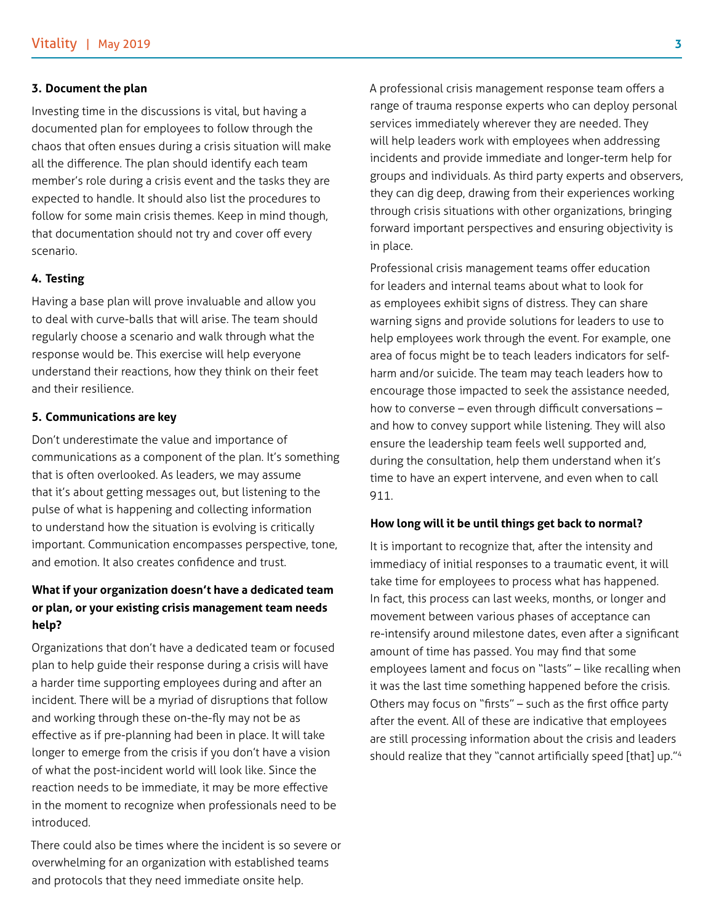#### **3. Document the plan**

Investing time in the discussions is vital, but having a documented plan for employees to follow through the chaos that often ensues during a crisis situation will make all the difference. The plan should identify each team member's role during a crisis event and the tasks they are expected to handle. It should also list the procedures to follow for some main crisis themes. Keep in mind though, that documentation should not try and cover off every scenario.

#### **4. Testing**

Having a base plan will prove invaluable and allow you to deal with curve-balls that will arise. The team should regularly choose a scenario and walk through what the response would be. This exercise will help everyone understand their reactions, how they think on their feet and their resilience.

#### **5. Communications are key**

Don't underestimate the value and importance of communications as a component of the plan. It's something that is often overlooked. As leaders, we may assume that it's about getting messages out, but listening to the pulse of what is happening and collecting information to understand how the situation is evolving is critically important. Communication encompasses perspective, tone, and emotion. It also creates confidence and trust.

# **What if your organization doesn't have a dedicated team or plan, or your existing crisis management team needs help?**

Organizations that don't have a dedicated team or focused plan to help guide their response during a crisis will have a harder time supporting employees during and after an incident. There will be a myriad of disruptions that follow and working through these on-the-fly may not be as effective as if pre-planning had been in place. It will take longer to emerge from the crisis if you don't have a vision of what the post-incident world will look like. Since the reaction needs to be immediate, it may be more effective in the moment to recognize when professionals need to be introduced.

There could also be times where the incident is so severe or overwhelming for an organization with established teams and protocols that they need immediate onsite help.

A professional crisis management response team offers a range of trauma response experts who can deploy personal services immediately wherever they are needed. They will help leaders work with employees when addressing incidents and provide immediate and longer-term help for groups and individuals. As third party experts and observers, they can dig deep, drawing from their experiences working through crisis situations with other organizations, bringing forward important perspectives and ensuring objectivity is in place.

Professional crisis management teams offer education for leaders and internal teams about what to look for as employees exhibit signs of distress. They can share warning signs and provide solutions for leaders to use to help employees work through the event. For example, one area of focus might be to teach leaders indicators for selfharm and/or suicide. The team may teach leaders how to encourage those impacted to seek the assistance needed, how to converse – even through difficult conversations – and how to convey support while listening. They will also ensure the leadership team feels well supported and, during the consultation, help them understand when it's time to have an expert intervene, and even when to call 911.

#### **How long will it be until things get back to normal?**

It is important to recognize that, after the intensity and immediacy of initial responses to a traumatic event, it will take time for employees to process what has happened. In fact, this process can last weeks, months, or longer and movement between various phases of acceptance can re-intensify around milestone dates, even after a significant amount of time has passed. You may find that some employees lament and focus on "lasts" – like recalling when it was the last time something happened before the crisis. Others may focus on "firsts" – such as the first office party after the event. All of these are indicative that employees are still processing information about the crisis and leaders should realize that they "cannot artificially speed [that] up."4